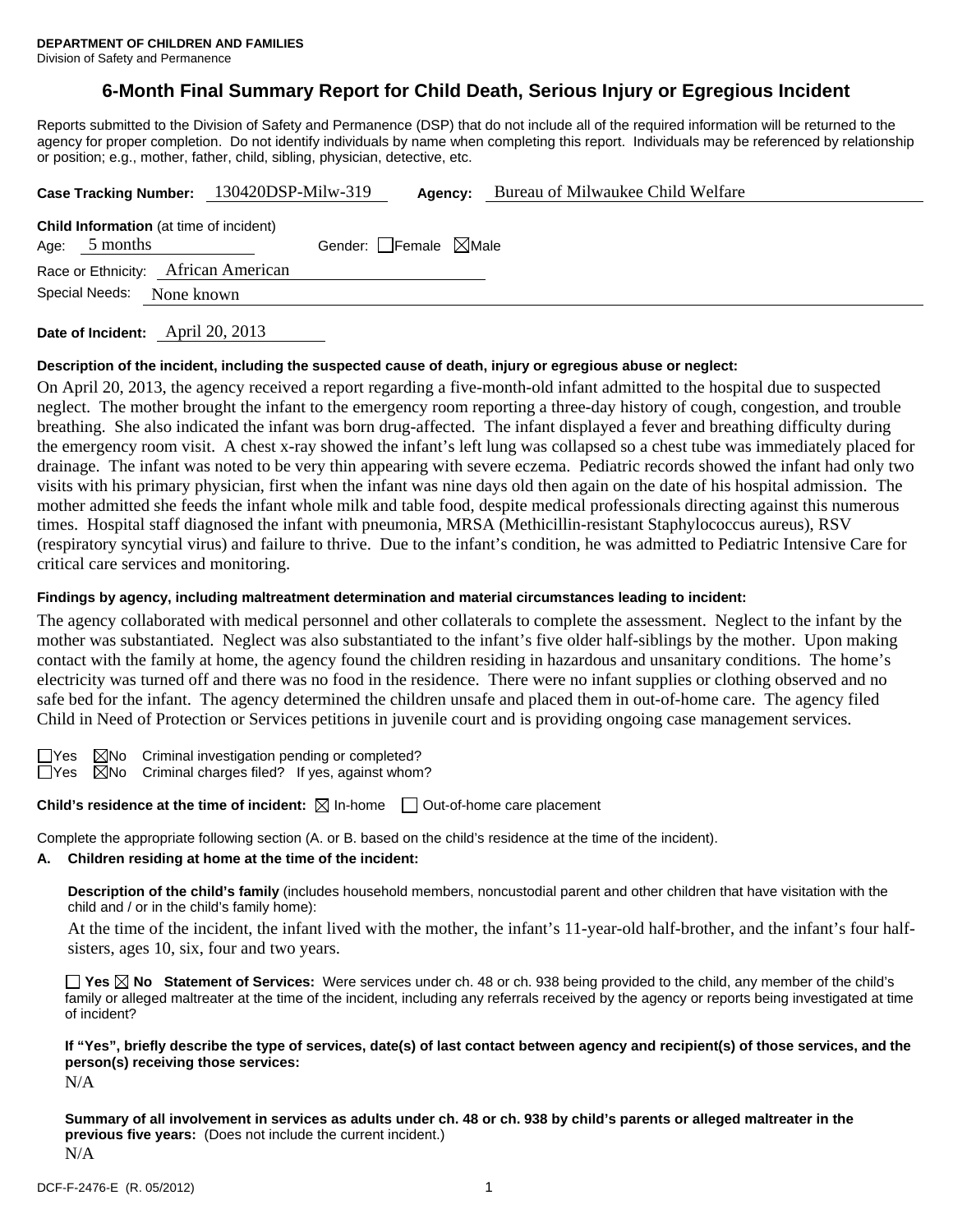# **6-Month Final Summary Report for Child Death, Serious Injury or Egregious Incident**

Reports submitted to the Division of Safety and Permanence (DSP) that do not include all of the required information will be returned to the agency for proper completion. Do not identify individuals by name when completing this report. Individuals may be referenced by relationship or position; e.g., mother, father, child, sibling, physician, detective, etc.

|                 | Case Tracking Number: 130420DSP-Milw-319       |                                 | Agency: | Bureau of Milwaukee Child Welfare |
|-----------------|------------------------------------------------|---------------------------------|---------|-----------------------------------|
| Age: $5$ months | <b>Child Information</b> (at time of incident) | Gender: Female $\boxtimes$ Male |         |                                   |
|                 | Race or Ethnicity: African American            |                                 |         |                                   |
| Special Needs:  | None known                                     |                                 |         |                                   |
|                 |                                                |                                 |         |                                   |

**Date of Incident:** April 20, 2013

#### **Description of the incident, including the suspected cause of death, injury or egregious abuse or neglect:**

On April 20, 2013, the agency received a report regarding a five-month-old infant admitted to the hospital due to suspected neglect. The mother brought the infant to the emergency room reporting a three-day history of cough, congestion, and trouble breathing. She also indicated the infant was born drug-affected. The infant displayed a fever and breathing difficulty during the emergency room visit. A chest x-ray showed the infant's left lung was collapsed so a chest tube was immediately placed for drainage. The infant was noted to be very thin appearing with severe eczema. Pediatric records showed the infant had only two visits with his primary physician, first when the infant was nine days old then again on the date of his hospital admission. The mother admitted she feeds the infant whole milk and table food, despite medical professionals directing against this numerous times. Hospital staff diagnosed the infant with pneumonia, MRSA (Methicillin-resistant Staphylococcus aureus), RSV (respiratory syncytial virus) and failure to thrive. Due to the infant's condition, he was admitted to Pediatric Intensive Care for critical care services and monitoring.

#### **Findings by agency, including maltreatment determination and material circumstances leading to incident:**

The agency collaborated with medical personnel and other collaterals to complete the assessment. Neglect to the infant by the mother was substantiated. Neglect was also substantiated to the infant's five older half-siblings by the mother. Upon making contact with the family at home, the agency found the children residing in hazardous and unsanitary conditions. The home's electricity was turned off and there was no food in the residence. There were no infant supplies or clothing observed and no safe bed for the infant. The agency determined the children unsafe and placed them in out-of-home care. The agency filed Child in Need of Protection or Services petitions in juvenile court and is providing ongoing case management services.

 $\Box$ Yes  $\Box$ No Criminal investigation pending or completed?

 $\Box$ Yes  $\boxtimes$ No Criminal charges filed? If yes, against whom?

**Child's residence at the time of incident:**  $\boxtimes$  In-home  $\Box$  Out-of-home care placement

Complete the appropriate following section (A. or B. based on the child's residence at the time of the incident).

# **A. Children residing at home at the time of the incident:**

**Description of the child's family** (includes household members, noncustodial parent and other children that have visitation with the child and / or in the child's family home):

 At the time of the incident, the infant lived with the mother, the infant's 11-year-old half-brother, and the infant's four halfsisters, ages 10, six, four and two years.

**Yes No Statement of Services:** Were services under ch. 48 or ch. 938 being provided to the child, any member of the child's family or alleged maltreater at the time of the incident, including any referrals received by the agency or reports being investigated at time of incident?

# **If "Yes", briefly describe the type of services, date(s) of last contact between agency and recipient(s) of those services, and the person(s) receiving those services:**

N/A

**Summary of all involvement in services as adults under ch. 48 or ch. 938 by child's parents or alleged maltreater in the previous five years:** (Does not include the current incident.) N/A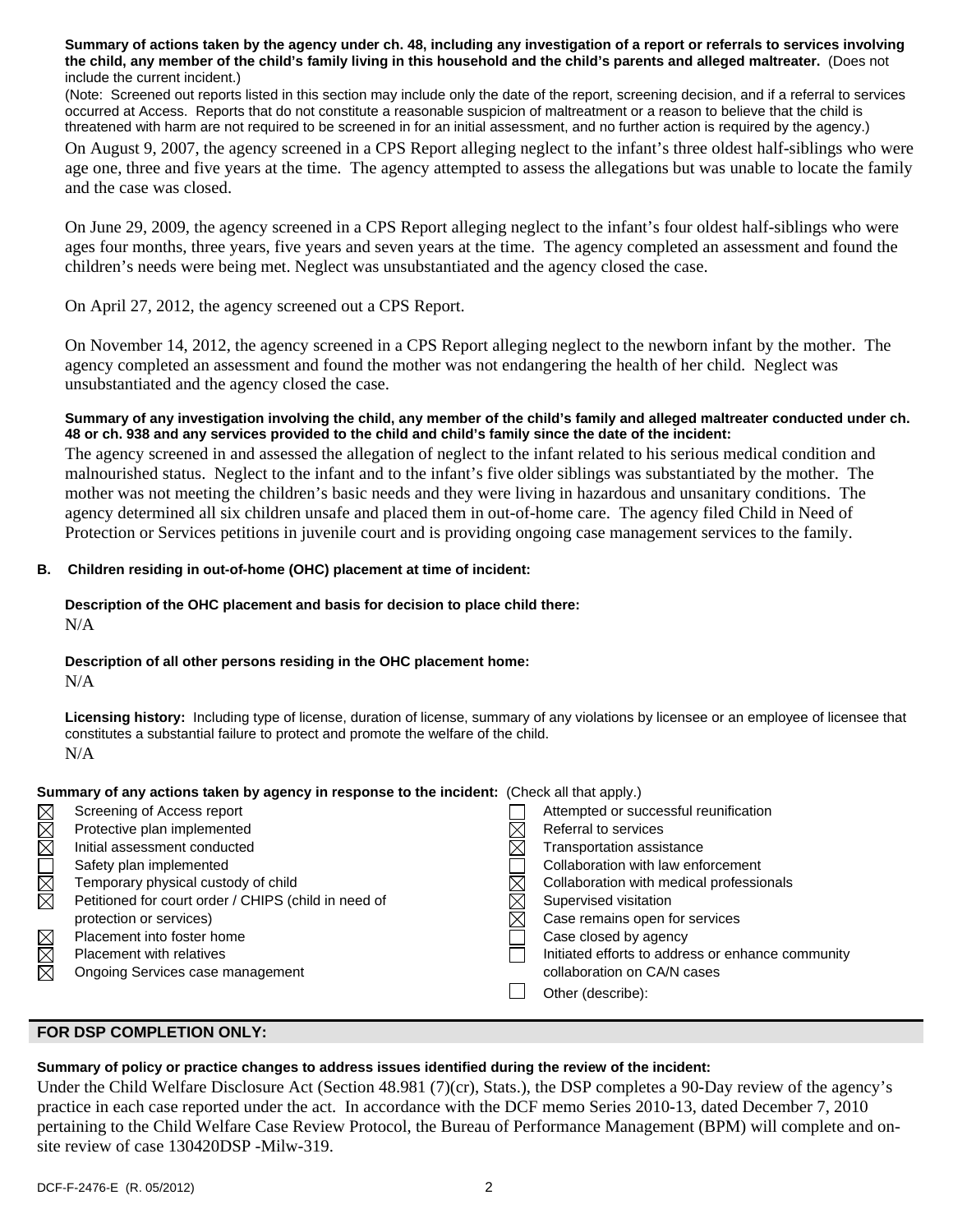**Summary of actions taken by the agency under ch. 48, including any investigation of a report or referrals to services involving the child, any member of the child's family living in this household and the child's parents and alleged maltreater.** (Does not include the current incident.)

(Note: Screened out reports listed in this section may include only the date of the report, screening decision, and if a referral to services occurred at Access. Reports that do not constitute a reasonable suspicion of maltreatment or a reason to believe that the child is threatened with harm are not required to be screened in for an initial assessment, and no further action is required by the agency.)

On August 9, 2007, the agency screened in a CPS Report alleging neglect to the infant's three oldest half-siblings who were age one, three and five years at the time. The agency attempted to assess the allegations but was unable to locate the family and the case was closed.

On June 29, 2009, the agency screened in a CPS Report alleging neglect to the infant's four oldest half-siblings who were ages four months, three years, five years and seven years at the time. The agency completed an assessment and found the children's needs were being met. Neglect was unsubstantiated and the agency closed the case.

On April 27, 2012, the agency screened out a CPS Report.

On November 14, 2012, the agency screened in a CPS Report alleging neglect to the newborn infant by the mother. The agency completed an assessment and found the mother was not endangering the health of her child. Neglect was unsubstantiated and the agency closed the case.

### **Summary of any investigation involving the child, any member of the child's family and alleged maltreater conducted under ch. 48 or ch. 938 and any services provided to the child and child's family since the date of the incident:**

The agency screened in and assessed the allegation of neglect to the infant related to his serious medical condition and malnourished status. Neglect to the infant and to the infant's five older siblings was substantiated by the mother. The mother was not meeting the children's basic needs and they were living in hazardous and unsanitary conditions. The agency determined all six children unsafe and placed them in out-of-home care. The agency filed Child in Need of Protection or Services petitions in juvenile court and is providing ongoing case management services to the family.

### **B. Children residing in out-of-home (OHC) placement at time of incident:**

#### **Description of the OHC placement and basis for decision to place child there:** N/A

# **Description of all other persons residing in the OHC placement home:**

N/A

**Licensing history:** Including type of license, duration of license, summary of any violations by licensee or an employee of licensee that constitutes a substantial failure to protect and promote the welfare of the child. N/A

### **Summary of any actions taken by agency in response to the incident:** (Check all that apply.)

|        | Screening of Access report                           | Attempted or successful reunification             |
|--------|------------------------------------------------------|---------------------------------------------------|
| MMOMMM | Protective plan implemented                          | Referral to services                              |
|        | Initial assessment conducted                         | Transportation assistance                         |
|        | Safety plan implemented                              | Collaboration with law enforcement                |
|        | Temporary physical custody of child                  | Collaboration with medical professionals          |
|        | Petitioned for court order / CHIPS (child in need of | Supervised visitation                             |
|        | protection or services)                              | Case remains open for services                    |
|        | Placement into foster home                           | Case closed by agency                             |
| MMM    | <b>Placement with relatives</b>                      | Initiated efforts to address or enhance community |
|        | Ongoing Services case management                     | collaboration on CA/N cases                       |
|        |                                                      | Other (describe):                                 |
|        |                                                      |                                                   |
|        |                                                      |                                                   |

### **FOR DSP COMPLETION ONLY:**

# **Summary of policy or practice changes to address issues identified during the review of the incident:**

Under the Child Welfare Disclosure Act (Section 48.981 (7)(cr), Stats.), the DSP completes a 90-Day review of the agency's practice in each case reported under the act. In accordance with the DCF memo Series 2010-13, dated December 7, 2010 pertaining to the Child Welfare Case Review Protocol, the Bureau of Performance Management (BPM) will complete and onsite review of case 130420DSP -Milw-319.